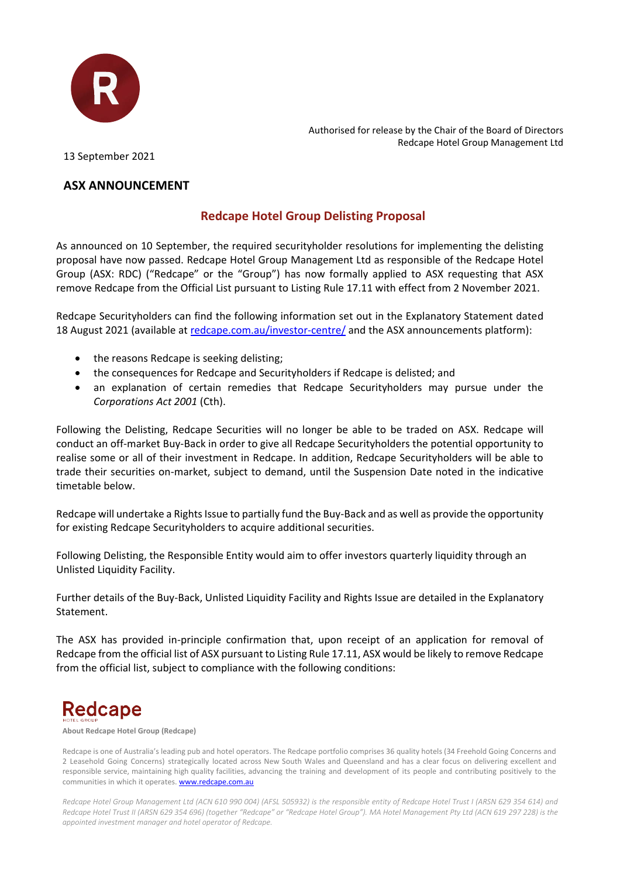

Authorised for release by the Chair of the Board of Directors Redcape Hotel Group Management Ltd

13 September 2021

### **ASX ANNOUNCEMENT**

### **Redcape Hotel Group Delisting Proposal**

As announced on 10 September, the required securityholder resolutions for implementing the delisting proposal have now passed. Redcape Hotel Group Management Ltd as responsible of the Redcape Hotel Group (ASX: RDC) ("Redcape" or the "Group") has now formally applied to ASX requesting that ASX remove Redcape from the Official List pursuant to Listing Rule 17.11 with effect from 2 November 2021.

Redcape Securityholders can find the following information set out in the Explanatory Statement dated 18 August 2021 (available at [redcape.com.au/investor-centre/](file:///C:/NRPortbl/ACTIVE/FARRELD/redcape.com.au/investor-centre/) and the ASX announcements platform):

- the reasons Redcape is seeking delisting;
- the consequences for Redcape and Securityholders if Redcape is delisted; and
- an explanation of certain remedies that Redcape Securityholders may pursue under the *Corporations Act 2001* (Cth).

Following the Delisting, Redcape Securities will no longer be able to be traded on ASX. Redcape will conduct an off-market Buy-Back in order to give all Redcape Securityholders the potential opportunity to realise some or all of their investment in Redcape. In addition, Redcape Securityholders will be able to trade their securities on-market, subject to demand, until the Suspension Date noted in the indicative timetable below.

Redcape will undertake a Rights Issue to partially fund the Buy-Back and as well as provide the opportunity for existing Redcape Securityholders to acquire additional securities.

Following Delisting, the Responsible Entity would aim to offer investors quarterly liquidity through an Unlisted Liquidity Facility.

Further details of the Buy-Back, Unlisted Liquidity Facility and Rights Issue are detailed in the Explanatory Statement.

The ASX has provided in-principle confirmation that, upon receipt of an application for removal of Redcape from the official list of ASX pursuant to Listing Rule 17.11, ASX would be likely to remove Redcape from the official list, subject to compliance with the following conditions:

# **Redcape**

**About Redcape Hotel Group (Redcape)**

Redcape is one of Australia's leading pub and hotel operators. The Redcape portfolio comprises 36 quality hotels (34 Freehold Going Concerns and 2 Leasehold Going Concerns) strategically located across New South Wales and Queensland and has a clear focus on delivering excellent and responsible service, maintaining high quality facilities, advancing the training and development of its people and contributing positively to the communities in which it operates[. www.redcape.com.au](http://www.redcape.com.au/)

*Redcape Hotel Group Management Ltd (ACN 610 990 004) (AFSL 505932) is the responsible entity of Redcape Hotel Trust I (ARSN 629 354 614) and Redcape Hotel Trust II (ARSN 629 354 696) (together "Redcape" or "Redcape Hotel Group"). MA Hotel Management Pty Ltd (ACN 619 297 228) is the appointed investment manager and hotel operator of Redcape.*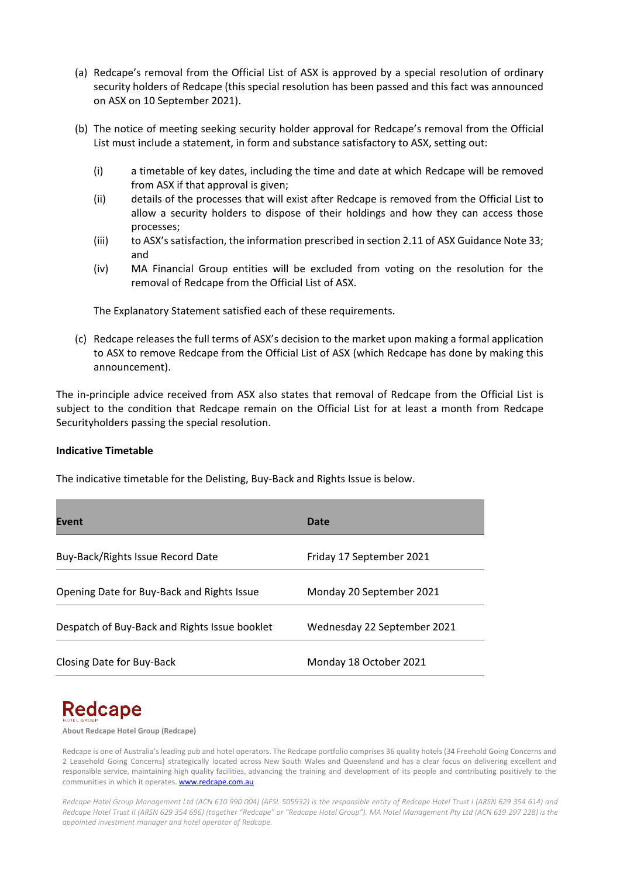- (a) Redcape's removal from the Official List of ASX is approved by a special resolution of ordinary security holders of Redcape (this special resolution has been passed and this fact was announced on ASX on 10 September 2021).
- (b) The notice of meeting seeking security holder approval for Redcape's removal from the Official List must include a statement, in form and substance satisfactory to ASX, setting out:
	- (i) a timetable of key dates, including the time and date at which Redcape will be removed from ASX if that approval is given;
	- (ii) details of the processes that will exist after Redcape is removed from the Official List to allow a security holders to dispose of their holdings and how they can access those processes;
	- (iii) to ASX's satisfaction, the information prescribed in section 2.11 of ASX Guidance Note 33; and
	- (iv) MA Financial Group entities will be excluded from voting on the resolution for the removal of Redcape from the Official List of ASX.

The Explanatory Statement satisfied each of these requirements.

(c) Redcape releases the full terms of ASX's decision to the market upon making a formal application to ASX to remove Redcape from the Official List of ASX (which Redcape has done by making this announcement).

The in-principle advice received from ASX also states that removal of Redcape from the Official List is subject to the condition that Redcape remain on the Official List for at least a month from Redcape Securityholders passing the special resolution.

### **Indicative Timetable**

The indicative timetable for the Delisting, Buy-Back and Rights Issue is below.

| <b>Event</b>                                  | Date                        |
|-----------------------------------------------|-----------------------------|
| Buy-Back/Rights Issue Record Date             | Friday 17 September 2021    |
| Opening Date for Buy-Back and Rights Issue    | Monday 20 September 2021    |
| Despatch of Buy-Back and Rights Issue booklet | Wednesday 22 September 2021 |
| Closing Date for Buy-Back                     | Monday 18 October 2021      |

## **Redcape**

**About Redcape Hotel Group (Redcape)**

Redcape is one of Australia's leading pub and hotel operators. The Redcape portfolio comprises 36 quality hotels (34 Freehold Going Concerns and 2 Leasehold Going Concerns) strategically located across New South Wales and Queensland and has a clear focus on delivering excellent and responsible service, maintaining high quality facilities, advancing the training and development of its people and contributing positively to the communities in which it operates[. www.redcape.com.au](http://www.redcape.com.au/)

*Redcape Hotel Group Management Ltd (ACN 610 990 004) (AFSL 505932) is the responsible entity of Redcape Hotel Trust I (ARSN 629 354 614) and Redcape Hotel Trust II (ARSN 629 354 696) (together "Redcape" or "Redcape Hotel Group"). MA Hotel Management Pty Ltd (ACN 619 297 228) is the appointed investment manager and hotel operator of Redcape.*